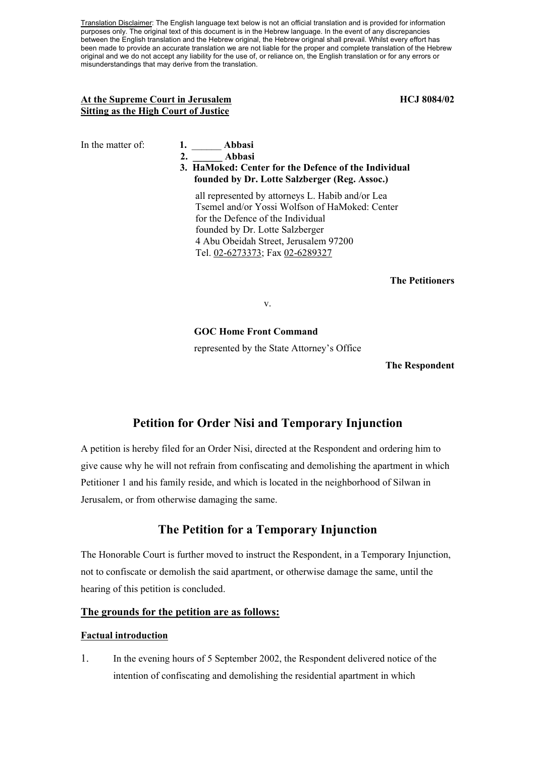Translation Disclaimer: The English language text below is not an official translation and is provided for information purposes only. The original text of this document is in the Hebrew language. In the event of any discrepancies between the English translation and the Hebrew original, the Hebrew original shall prevail. Whilst every effort has been made to provide an accurate translation we are not liable for the proper and complete translation of the Hebrew original and we do not accept any liability for the use of, or reliance on, the English translation or for any errors or misunderstandings that may derive from the translation.

# At the Supreme Court in Jerusalem **HCJ 8084/02 HCJ 8084/02 Sitting as the High Court of Justice**

| In the matter of: | Abbasi |
|-------------------|--------|
|                   |        |

 **2. \_\_\_\_\_\_ Abbasi** 

# **3. HaMoked: Center for the Defence of the Individual founded by Dr. Lotte Salzberger (Reg. Assoc.)**

all represented by attorneys L. Habib and/or Lea Tsemel and/or Yossi Wolfson of HaMoked: Center for the Defence of the Individual founded by Dr. Lotte Salzberger 4 Abu Obeidah Street, Jerusalem 97200 Tel. 02-6273373; Fax 02-6289327

## **The Petitioners**

v.

# **GOC Home Front Command**

represented by the State Attorney's Office

#### **The Respondent**

# **Petition for Order Nisi and Temporary Injunction**

A petition is hereby filed for an Order Nisi, directed at the Respondent and ordering him to give cause why he will not refrain from confiscating and demolishing the apartment in which Petitioner 1 and his family reside, and which is located in the neighborhood of Silwan in Jerusalem, or from otherwise damaging the same.

# **The Petition for a Temporary Injunction**

The Honorable Court is further moved to instruct the Respondent, in a Temporary Injunction, not to confiscate or demolish the said apartment, or otherwise damage the same, until the hearing of this petition is concluded.

# **The grounds for the petition are as follows:**

## **Factual introduction**

1. In the evening hours of 5 September 2002, the Respondent delivered notice of the intention of confiscating and demolishing the residential apartment in which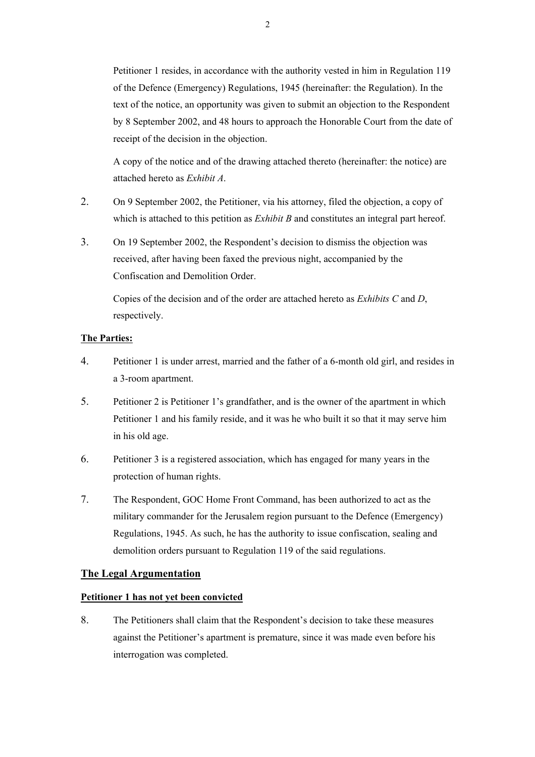Petitioner 1 resides, in accordance with the authority vested in him in Regulation 119 of the Defence (Emergency) Regulations, 1945 (hereinafter: the Regulation). In the text of the notice, an opportunity was given to submit an objection to the Respondent by 8 September 2002, and 48 hours to approach the Honorable Court from the date of receipt of the decision in the objection.

A copy of the notice and of the drawing attached thereto (hereinafter: the notice) are attached hereto as *Exhibit A*.

- 2. On 9 September 2002, the Petitioner, via his attorney, filed the objection, a copy of which is attached to this petition as *Exhibit B* and constitutes an integral part hereof.
- 3. On 19 September 2002, the Respondent's decision to dismiss the objection was received, after having been faxed the previous night, accompanied by the Confiscation and Demolition Order.

Copies of the decision and of the order are attached hereto as *Exhibits C* and *D*, respectively.

# **The Parties:**

- 4. Petitioner 1 is under arrest, married and the father of a 6-month old girl, and resides in a 3-room apartment.
- 5. Petitioner 2 is Petitioner 1's grandfather, and is the owner of the apartment in which Petitioner 1 and his family reside, and it was he who built it so that it may serve him in his old age.
- 6. Petitioner 3 is a registered association, which has engaged for many years in the protection of human rights.
- 7. The Respondent, GOC Home Front Command, has been authorized to act as the military commander for the Jerusalem region pursuant to the Defence (Emergency) Regulations, 1945. As such, he has the authority to issue confiscation, sealing and demolition orders pursuant to Regulation 119 of the said regulations.

# **The Legal Argumentation**

# **Petitioner 1 has not yet been convicted**

8. The Petitioners shall claim that the Respondent's decision to take these measures against the Petitioner's apartment is premature, since it was made even before his interrogation was completed.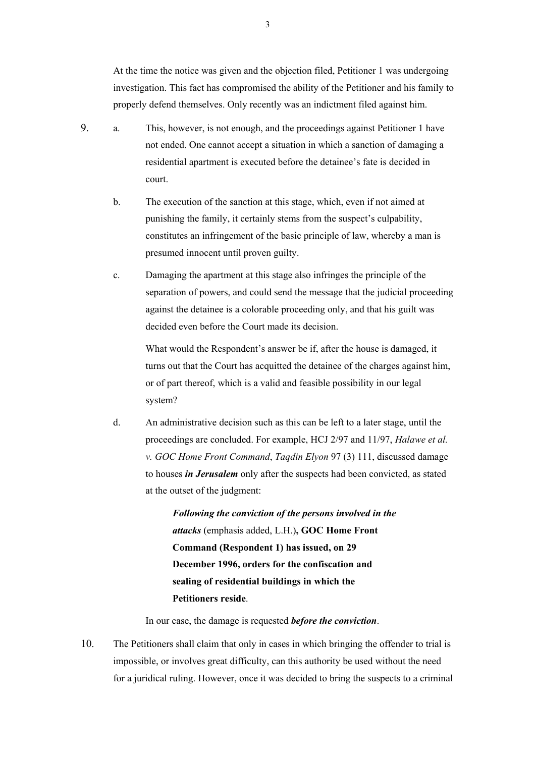At the time the notice was given and the objection filed, Petitioner 1 was undergoing investigation. This fact has compromised the ability of the Petitioner and his family to properly defend themselves. Only recently was an indictment filed against him.

- 9. a. This, however, is not enough, and the proceedings against Petitioner 1 have not ended. One cannot accept a situation in which a sanction of damaging a residential apartment is executed before the detainee's fate is decided in court.
	- b. The execution of the sanction at this stage, which, even if not aimed at punishing the family, it certainly stems from the suspect's culpability, constitutes an infringement of the basic principle of law, whereby a man is presumed innocent until proven guilty.
	- c. Damaging the apartment at this stage also infringes the principle of the separation of powers, and could send the message that the judicial proceeding against the detainee is a colorable proceeding only, and that his guilt was decided even before the Court made its decision.

What would the Respondent's answer be if, after the house is damaged, it turns out that the Court has acquitted the detainee of the charges against him, or of part thereof, which is a valid and feasible possibility in our legal system?

d. An administrative decision such as this can be left to a later stage, until the proceedings are concluded. For example, HCJ 2/97 and 11/97, *Halawe et al. v. GOC Home Front Command*, *Taqdin Elyon* 97 (3) 111, discussed damage to houses *in Jerusalem* only after the suspects had been convicted, as stated at the outset of the judgment:

> *Following the conviction of the persons involved in the attacks* (emphasis added, L.H.)**, GOC Home Front Command (Respondent 1) has issued, on 29 December 1996, orders for the confiscation and sealing of residential buildings in which the Petitioners reside**.

In our case, the damage is requested *before the conviction*.

10. The Petitioners shall claim that only in cases in which bringing the offender to trial is impossible, or involves great difficulty, can this authority be used without the need for a juridical ruling. However, once it was decided to bring the suspects to a criminal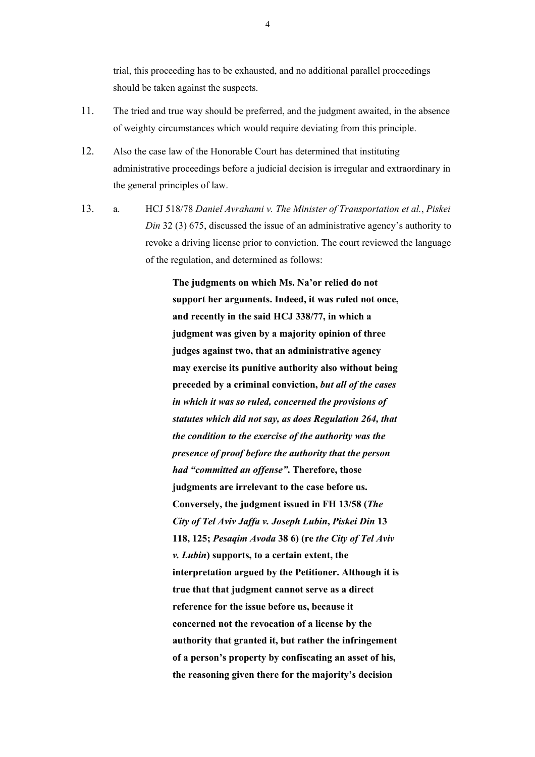trial, this proceeding has to be exhausted, and no additional parallel proceedings should be taken against the suspects.

- 11. The tried and true way should be preferred, and the judgment awaited, in the absence of weighty circumstances which would require deviating from this principle.
- 12. Also the case law of the Honorable Court has determined that instituting administrative proceedings before a judicial decision is irregular and extraordinary in the general principles of law.
- 13. a. HCJ 518/78 *Daniel Avrahami v. The Minister of Transportation et al.*, *Piskei Din* 32 (3) 675, discussed the issue of an administrative agency's authority to revoke a driving license prior to conviction. The court reviewed the language of the regulation, and determined as follows:

**The judgments on which Ms. Na'or relied do not support her arguments. Indeed, it was ruled not once, and recently in the said HCJ 338/77, in which a judgment was given by a majority opinion of three judges against two, that an administrative agency may exercise its punitive authority also without being preceded by a criminal conviction,** *but all of the cases in which it was so ruled, concerned the provisions of statutes which did not say, as does Regulation 264, that the condition to the exercise of the authority was the presence of proof before the authority that the person had "committed an offense"***. Therefore, those judgments are irrelevant to the case before us. Conversely, the judgment issued in FH 13/58 (***The City of Tel Aviv Jaffa v. Joseph Lubin***,** *Piskei Din* **13 118, 125;** *Pesaqim Avoda* **38 6) (re** *the City of Tel Aviv v. Lubin***) supports, to a certain extent, the interpretation argued by the Petitioner. Although it is true that that judgment cannot serve as a direct reference for the issue before us, because it concerned not the revocation of a license by the authority that granted it, but rather the infringement of a person's property by confiscating an asset of his, the reasoning given there for the majority's decision**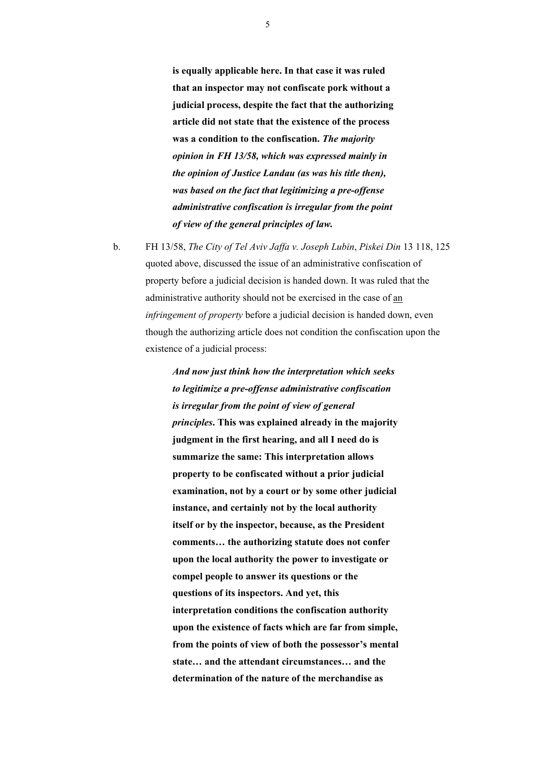**is equally applicable here. In that case it was ruled that an inspector may not confiscate pork without a judicial process, despite the fact that the authorizing article did not state that the existence of the process was a condition to the confiscation.** *The majority opinion in FH 13/58, which was expressed mainly in the opinion of Justice Landau (as was his title then), was based on the fact that legitimizing a pre-offense administrative confiscation is irregular from the point of view of the general principles of law.*

b. FH 13/58, *The City of Tel Aviv Jaffa v. Joseph Lubin*, *Piskei Din* 13 118, 125 quoted above, discussed the issue of an administrative confiscation of property before a judicial decision is handed down. It was ruled that the administrative authority should not be exercised in the case of an *infringement of property* before a judicial decision is handed down, even though the authorizing article does not condition the confiscation upon the existence of a judicial process:

> *And now just think how the interpretation which seeks to legitimize a pre-offense administrative confiscation is irregular from the point of view of general principles***. This was explained already in the majority judgment in the first hearing, and all I need do is summarize the same: This interpretation allows property to be confiscated without a prior judicial examination, not by a court or by some other judicial instance, and certainly not by the local authority itself or by the inspector, because, as the President comments… the authorizing statute does not confer upon the local authority the power to investigate or compel people to answer its questions or the questions of its inspectors. And yet, this interpretation conditions the confiscation authority upon the existence of facts which are far from simple, from the points of view of both the possessor's mental state… and the attendant circumstances… and the determination of the nature of the merchandise as**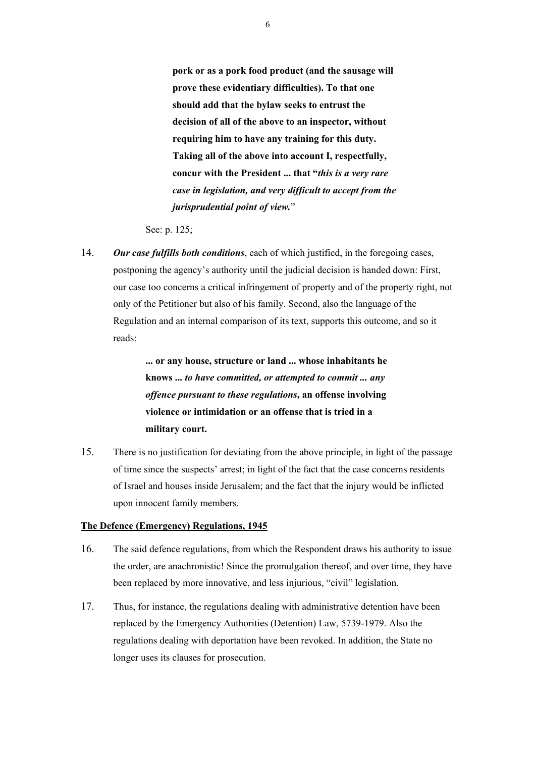**pork or as a pork food product (and the sausage will prove these evidentiary difficulties). To that one should add that the bylaw seeks to entrust the decision of all of the above to an inspector, without requiring him to have any training for this duty. Taking all of the above into account I, respectfully, concur with the President ... that "***this is a very rare case in legislation, and very difficult to accept from the jurisprudential point of view.*"

See: p. 125;

14. *Our case fulfills both conditions*, each of which justified, in the foregoing cases, postponing the agency's authority until the judicial decision is handed down: First, our case too concerns a critical infringement of property and of the property right, not only of the Petitioner but also of his family. Second, also the language of the Regulation and an internal comparison of its text, supports this outcome, and so it reads:

> **... or any house, structure or land ... whose inhabitants he knows ...** *to have committed, or attempted to commit ... any offence pursuant to these regulations***, an offense involving violence or intimidation or an offense that is tried in a military court.**

15. There is no justification for deviating from the above principle, in light of the passage of time since the suspects' arrest; in light of the fact that the case concerns residents of Israel and houses inside Jerusalem; and the fact that the injury would be inflicted upon innocent family members.

## **The Defence (Emergency) Regulations, 1945**

- 16. The said defence regulations, from which the Respondent draws his authority to issue the order, are anachronistic! Since the promulgation thereof, and over time, they have been replaced by more innovative, and less injurious, "civil" legislation.
- 17. Thus, for instance, the regulations dealing with administrative detention have been replaced by the Emergency Authorities (Detention) Law, 5739-1979. Also the regulations dealing with deportation have been revoked. In addition, the State no longer uses its clauses for prosecution.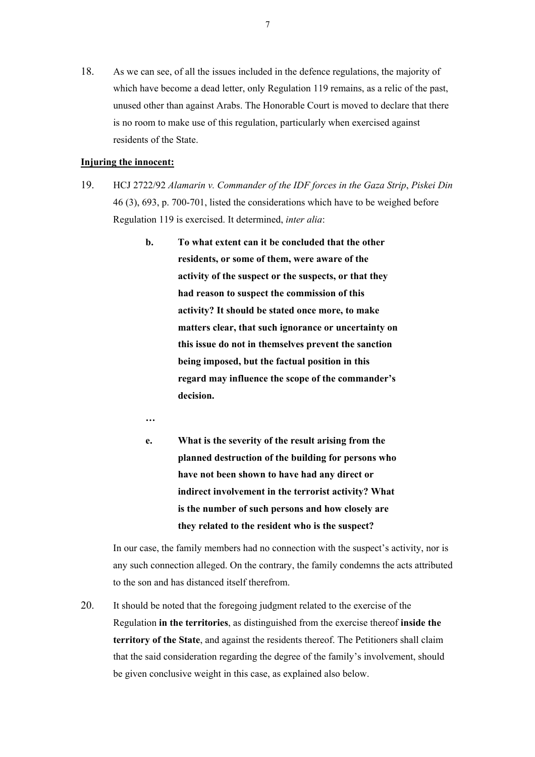18. As we can see, of all the issues included in the defence regulations, the majority of which have become a dead letter, only Regulation 119 remains, as a relic of the past, unused other than against Arabs. The Honorable Court is moved to declare that there is no room to make use of this regulation, particularly when exercised against residents of the State.

#### **Injuring the innocent:**

- 19. HCJ 2722/92 *Alamarin v. Commander of the IDF forces in the Gaza Strip*, *Piskei Din* 46 (3), 693, p. 700-701, listed the considerations which have to be weighed before Regulation 119 is exercised. It determined, *inter alia*:
	- **b. To what extent can it be concluded that the other residents, or some of them, were aware of the activity of the suspect or the suspects, or that they had reason to suspect the commission of this activity? It should be stated once more, to make matters clear, that such ignorance or uncertainty on this issue do not in themselves prevent the sanction being imposed, but the factual position in this regard may influence the scope of the commander's decision.**
	- **…**
	- **e. What is the severity of the result arising from the planned destruction of the building for persons who have not been shown to have had any direct or indirect involvement in the terrorist activity? What is the number of such persons and how closely are they related to the resident who is the suspect?**

In our case, the family members had no connection with the suspect's activity, nor is any such connection alleged. On the contrary, the family condemns the acts attributed to the son and has distanced itself therefrom.

20. It should be noted that the foregoing judgment related to the exercise of the Regulation **in the territories**, as distinguished from the exercise thereof **inside the territory of the State**, and against the residents thereof. The Petitioners shall claim that the said consideration regarding the degree of the family's involvement, should be given conclusive weight in this case, as explained also below.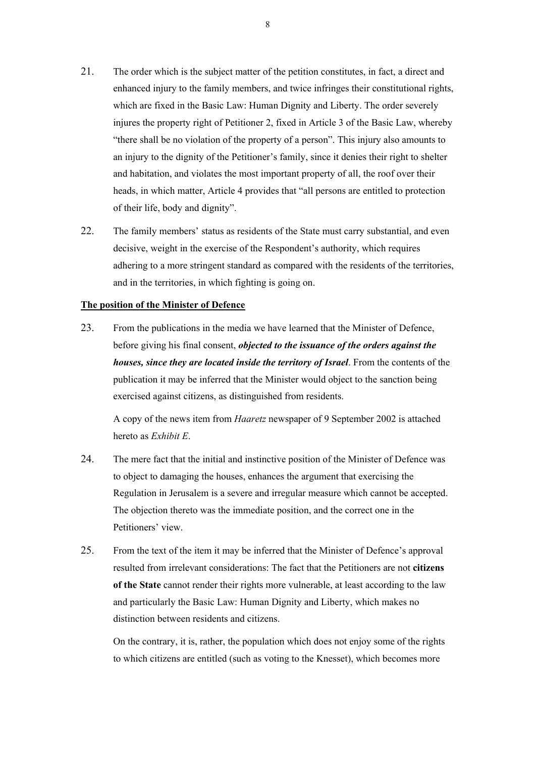- 21. The order which is the subject matter of the petition constitutes, in fact, a direct and enhanced injury to the family members, and twice infringes their constitutional rights, which are fixed in the Basic Law: Human Dignity and Liberty. The order severely injures the property right of Petitioner 2, fixed in Article 3 of the Basic Law, whereby "there shall be no violation of the property of a person". This injury also amounts to an injury to the dignity of the Petitioner's family, since it denies their right to shelter and habitation, and violates the most important property of all, the roof over their heads, in which matter, Article 4 provides that "all persons are entitled to protection of their life, body and dignity".
- 22. The family members' status as residents of the State must carry substantial, and even decisive, weight in the exercise of the Respondent's authority, which requires adhering to a more stringent standard as compared with the residents of the territories, and in the territories, in which fighting is going on.

#### **The position of the Minister of Defence**

23. From the publications in the media we have learned that the Minister of Defence, before giving his final consent, *objected to the issuance of the orders against the houses, since they are located inside the territory of Israel*. From the contents of the publication it may be inferred that the Minister would object to the sanction being exercised against citizens, as distinguished from residents.

A copy of the news item from *Haaretz* newspaper of 9 September 2002 is attached hereto as *Exhibit E*.

- 24. The mere fact that the initial and instinctive position of the Minister of Defence was to object to damaging the houses, enhances the argument that exercising the Regulation in Jerusalem is a severe and irregular measure which cannot be accepted. The objection thereto was the immediate position, and the correct one in the Petitioners' view.
- 25. From the text of the item it may be inferred that the Minister of Defence's approval resulted from irrelevant considerations: The fact that the Petitioners are not **citizens of the State** cannot render their rights more vulnerable, at least according to the law and particularly the Basic Law: Human Dignity and Liberty, which makes no distinction between residents and citizens.

On the contrary, it is, rather, the population which does not enjoy some of the rights to which citizens are entitled (such as voting to the Knesset), which becomes more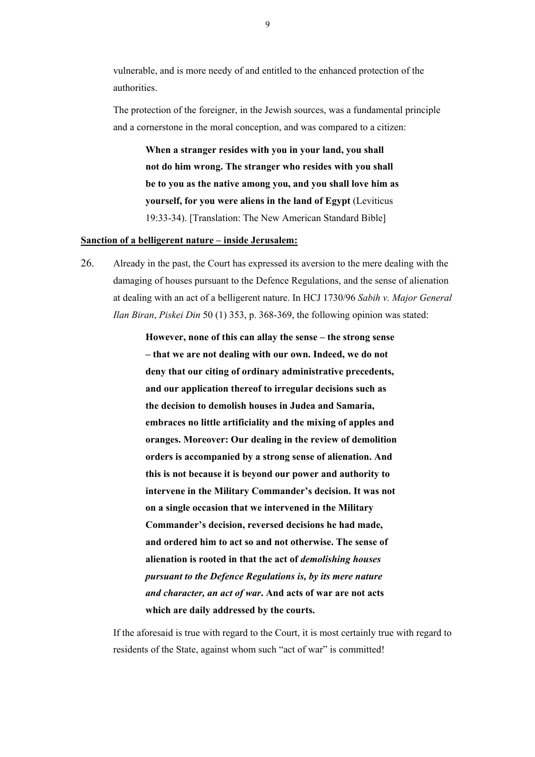vulnerable, and is more needy of and entitled to the enhanced protection of the authorities.

The protection of the foreigner, in the Jewish sources, was a fundamental principle and a cornerstone in the moral conception, and was compared to a citizen:

**When a stranger resides with you in your land, you shall not do him wrong. The stranger who resides with you shall be to you as the native among you, and you shall love him as yourself, for you were aliens in the land of Egypt** (Leviticus 19:33-34). [Translation: The New American Standard Bible]

#### **Sanction of a belligerent nature – inside Jerusalem:**

26. Already in the past, the Court has expressed its aversion to the mere dealing with the damaging of houses pursuant to the Defence Regulations, and the sense of alienation at dealing with an act of a belligerent nature. In HCJ 1730/96 *Sabih v. Major General Ilan Biran*, *Piskei Din* 50 (1) 353, p. 368-369, the following opinion was stated:

> **However, none of this can allay the sense – the strong sense – that we are not dealing with our own. Indeed, we do not deny that our citing of ordinary administrative precedents, and our application thereof to irregular decisions such as the decision to demolish houses in Judea and Samaria, embraces no little artificiality and the mixing of apples and oranges. Moreover: Our dealing in the review of demolition orders is accompanied by a strong sense of alienation. And this is not because it is beyond our power and authority to intervene in the Military Commander's decision. It was not on a single occasion that we intervened in the Military Commander's decision, reversed decisions he had made, and ordered him to act so and not otherwise. The sense of alienation is rooted in that the act of** *demolishing houses pursuant to the Defence Regulations is, by its mere nature and character, an act of war***. And acts of war are not acts which are daily addressed by the courts.**

If the aforesaid is true with regard to the Court, it is most certainly true with regard to residents of the State, against whom such "act of war" is committed!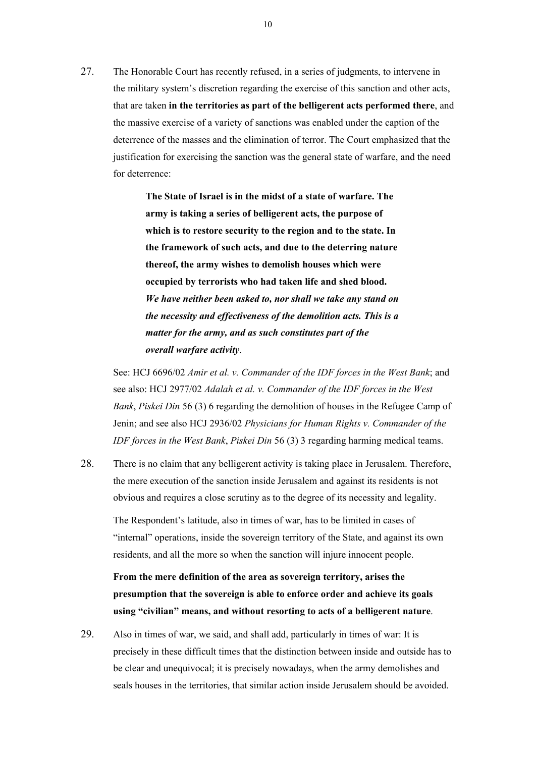27. The Honorable Court has recently refused, in a series of judgments, to intervene in the military system's discretion regarding the exercise of this sanction and other acts, that are taken **in the territories as part of the belligerent acts performed there**, and the massive exercise of a variety of sanctions was enabled under the caption of the deterrence of the masses and the elimination of terror. The Court emphasized that the justification for exercising the sanction was the general state of warfare, and the need for deterrence:

> **The State of Israel is in the midst of a state of warfare. The army is taking a series of belligerent acts, the purpose of which is to restore security to the region and to the state. In the framework of such acts, and due to the deterring nature thereof, the army wishes to demolish houses which were occupied by terrorists who had taken life and shed blood.**  *We have neither been asked to, nor shall we take any stand on the necessity and effectiveness of the demolition acts. This is a matter for the army, and as such constitutes part of the overall warfare activity*.

See: HCJ 6696/02 *Amir et al. v. Commander of the IDF forces in the West Bank*; and see also: HCJ 2977/02 *Adalah et al. v. Commander of the IDF forces in the West Bank*, *Piskei Din* 56 (3) 6 regarding the demolition of houses in the Refugee Camp of Jenin; and see also HCJ 2936/02 *Physicians for Human Rights v. Commander of the IDF forces in the West Bank*, *Piskei Din* 56 (3) 3 regarding harming medical teams.

28. There is no claim that any belligerent activity is taking place in Jerusalem. Therefore, the mere execution of the sanction inside Jerusalem and against its residents is not obvious and requires a close scrutiny as to the degree of its necessity and legality.

The Respondent's latitude, also in times of war, has to be limited in cases of "internal" operations, inside the sovereign territory of the State, and against its own residents, and all the more so when the sanction will injure innocent people.

**From the mere definition of the area as sovereign territory, arises the presumption that the sovereign is able to enforce order and achieve its goals using "civilian" means, and without resorting to acts of a belligerent nature**.

29. Also in times of war, we said, and shall add, particularly in times of war: It is precisely in these difficult times that the distinction between inside and outside has to be clear and unequivocal; it is precisely nowadays, when the army demolishes and seals houses in the territories, that similar action inside Jerusalem should be avoided.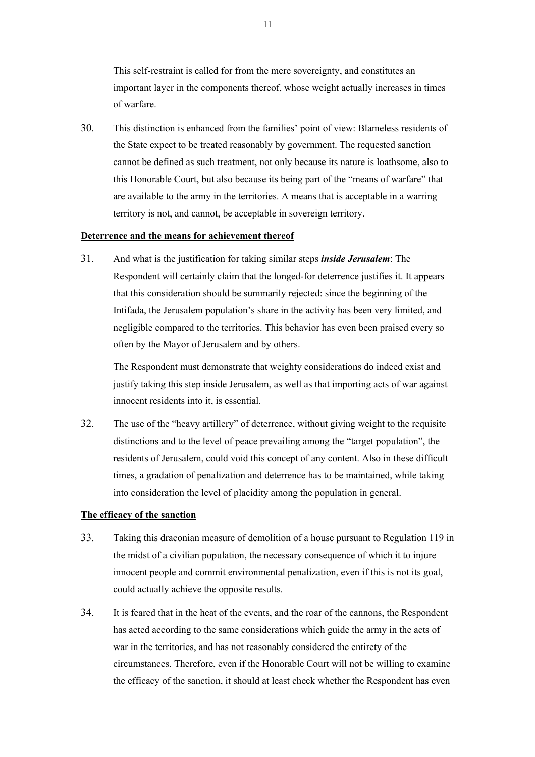This self-restraint is called for from the mere sovereignty, and constitutes an important layer in the components thereof, whose weight actually increases in times of warfare.

30. This distinction is enhanced from the families' point of view: Blameless residents of the State expect to be treated reasonably by government. The requested sanction cannot be defined as such treatment, not only because its nature is loathsome, also to this Honorable Court, but also because its being part of the "means of warfare" that are available to the army in the territories. A means that is acceptable in a warring territory is not, and cannot, be acceptable in sovereign territory.

# **Deterrence and the means for achievement thereof**

31. And what is the justification for taking similar steps *inside Jerusalem*: The Respondent will certainly claim that the longed-for deterrence justifies it. It appears that this consideration should be summarily rejected: since the beginning of the Intifada, the Jerusalem population's share in the activity has been very limited, and negligible compared to the territories. This behavior has even been praised every so often by the Mayor of Jerusalem and by others.

The Respondent must demonstrate that weighty considerations do indeed exist and justify taking this step inside Jerusalem, as well as that importing acts of war against innocent residents into it, is essential.

32. The use of the "heavy artillery" of deterrence, without giving weight to the requisite distinctions and to the level of peace prevailing among the "target population", the residents of Jerusalem, could void this concept of any content. Also in these difficult times, a gradation of penalization and deterrence has to be maintained, while taking into consideration the level of placidity among the population in general.

#### **The efficacy of the sanction**

- 33. Taking this draconian measure of demolition of a house pursuant to Regulation 119 in the midst of a civilian population, the necessary consequence of which it to injure innocent people and commit environmental penalization, even if this is not its goal, could actually achieve the opposite results.
- 34. It is feared that in the heat of the events, and the roar of the cannons, the Respondent has acted according to the same considerations which guide the army in the acts of war in the territories, and has not reasonably considered the entirety of the circumstances. Therefore, even if the Honorable Court will not be willing to examine the efficacy of the sanction, it should at least check whether the Respondent has even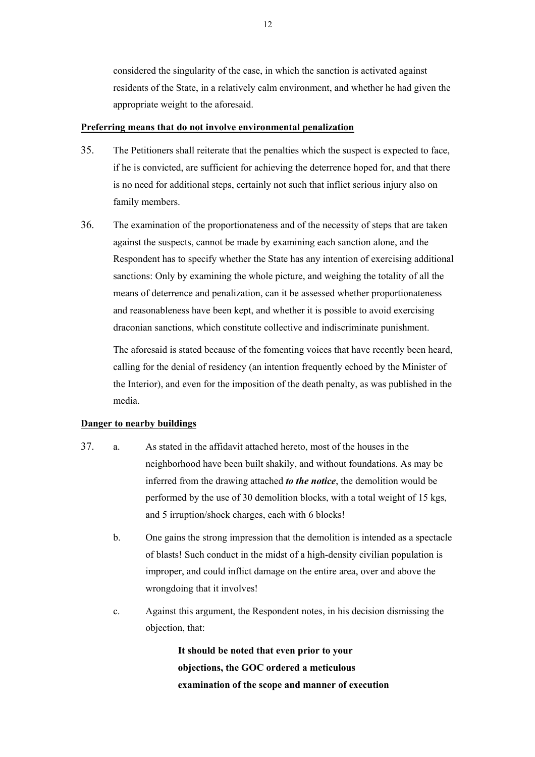considered the singularity of the case, in which the sanction is activated against residents of the State, in a relatively calm environment, and whether he had given the appropriate weight to the aforesaid.

#### **Preferring means that do not involve environmental penalization**

- 35. The Petitioners shall reiterate that the penalties which the suspect is expected to face, if he is convicted, are sufficient for achieving the deterrence hoped for, and that there is no need for additional steps, certainly not such that inflict serious injury also on family members.
- 36. The examination of the proportionateness and of the necessity of steps that are taken against the suspects, cannot be made by examining each sanction alone, and the Respondent has to specify whether the State has any intention of exercising additional sanctions: Only by examining the whole picture, and weighing the totality of all the means of deterrence and penalization, can it be assessed whether proportionateness and reasonableness have been kept, and whether it is possible to avoid exercising draconian sanctions, which constitute collective and indiscriminate punishment.

The aforesaid is stated because of the fomenting voices that have recently been heard, calling for the denial of residency (an intention frequently echoed by the Minister of the Interior), and even for the imposition of the death penalty, as was published in the media.

## **Danger to nearby buildings**

- 37. a. As stated in the affidavit attached hereto, most of the houses in the neighborhood have been built shakily, and without foundations. As may be inferred from the drawing attached *to the notice*, the demolition would be performed by the use of 30 demolition blocks, with a total weight of 15 kgs, and 5 irruption/shock charges, each with 6 blocks!
	- b. One gains the strong impression that the demolition is intended as a spectacle of blasts! Such conduct in the midst of a high-density civilian population is improper, and could inflict damage on the entire area, over and above the wrongdoing that it involves!
	- c. Against this argument, the Respondent notes, in his decision dismissing the objection, that:

**It should be noted that even prior to your objections, the GOC ordered a meticulous examination of the scope and manner of execution**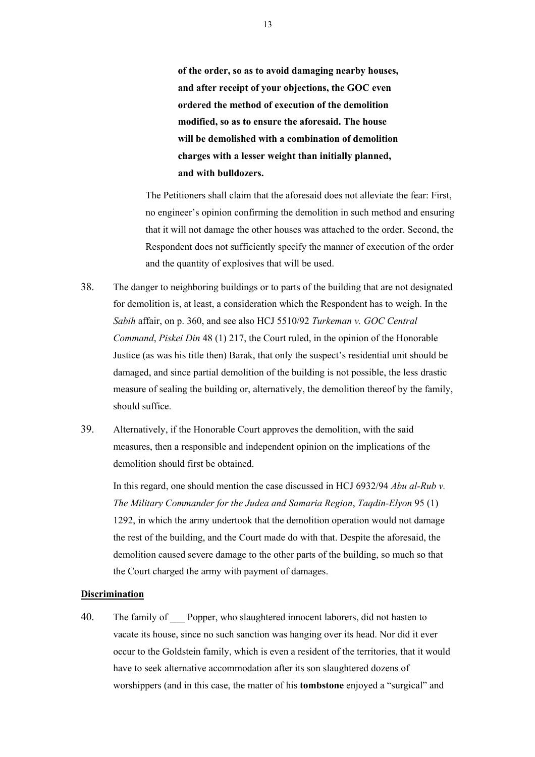**of the order, so as to avoid damaging nearby houses, and after receipt of your objections, the GOC even ordered the method of execution of the demolition modified, so as to ensure the aforesaid. The house will be demolished with a combination of demolition charges with a lesser weight than initially planned, and with bulldozers.**

The Petitioners shall claim that the aforesaid does not alleviate the fear: First, no engineer's opinion confirming the demolition in such method and ensuring that it will not damage the other houses was attached to the order. Second, the Respondent does not sufficiently specify the manner of execution of the order and the quantity of explosives that will be used.

- 38. The danger to neighboring buildings or to parts of the building that are not designated for demolition is, at least, a consideration which the Respondent has to weigh. In the *Sabih* affair, on p. 360, and see also HCJ 5510/92 *Turkeman v. GOC Central Command*, *Piskei Din* 48 (1) 217, the Court ruled, in the opinion of the Honorable Justice (as was his title then) Barak, that only the suspect's residential unit should be damaged, and since partial demolition of the building is not possible, the less drastic measure of sealing the building or, alternatively, the demolition thereof by the family, should suffice.
- 39. Alternatively, if the Honorable Court approves the demolition, with the said measures, then a responsible and independent opinion on the implications of the demolition should first be obtained.

In this regard, one should mention the case discussed in HCJ 6932/94 *Abu al-Rub v. The Military Commander for the Judea and Samaria Region*, *Taqdin-Elyon* 95 (1) 1292, in which the army undertook that the demolition operation would not damage the rest of the building, and the Court made do with that. Despite the aforesaid, the demolition caused severe damage to the other parts of the building, so much so that the Court charged the army with payment of damages.

#### **Discrimination**

40. The family of Popper, who slaughtered innocent laborers, did not hasten to vacate its house, since no such sanction was hanging over its head. Nor did it ever occur to the Goldstein family, which is even a resident of the territories, that it would have to seek alternative accommodation after its son slaughtered dozens of worshippers (and in this case, the matter of his **tombstone** enjoyed a "surgical" and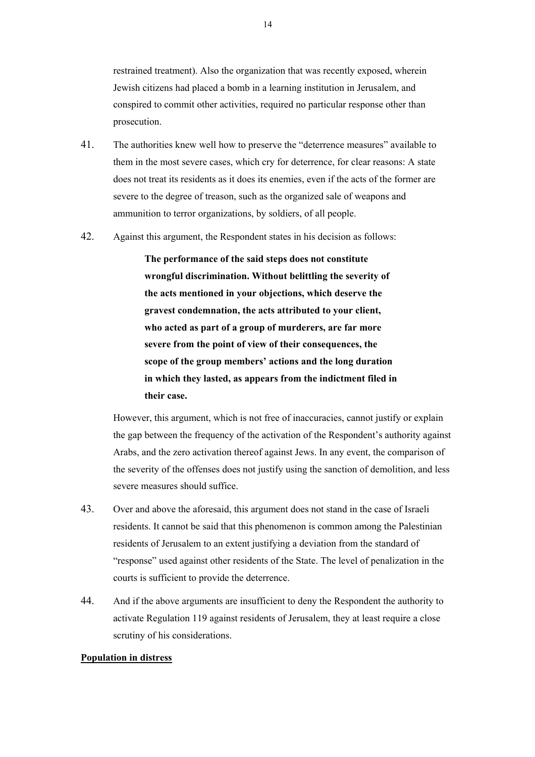restrained treatment). Also the organization that was recently exposed, wherein Jewish citizens had placed a bomb in a learning institution in Jerusalem, and conspired to commit other activities, required no particular response other than prosecution.

- 41. The authorities knew well how to preserve the "deterrence measures" available to them in the most severe cases, which cry for deterrence, for clear reasons: A state does not treat its residents as it does its enemies, even if the acts of the former are severe to the degree of treason, such as the organized sale of weapons and ammunition to terror organizations, by soldiers, of all people.
- 42. Against this argument, the Respondent states in his decision as follows:

**The performance of the said steps does not constitute wrongful discrimination. Without belittling the severity of the acts mentioned in your objections, which deserve the gravest condemnation, the acts attributed to your client, who acted as part of a group of murderers, are far more severe from the point of view of their consequences, the scope of the group members' actions and the long duration in which they lasted, as appears from the indictment filed in their case.**

However, this argument, which is not free of inaccuracies, cannot justify or explain the gap between the frequency of the activation of the Respondent's authority against Arabs, and the zero activation thereof against Jews. In any event, the comparison of the severity of the offenses does not justify using the sanction of demolition, and less severe measures should suffice.

- 43. Over and above the aforesaid, this argument does not stand in the case of Israeli residents. It cannot be said that this phenomenon is common among the Palestinian residents of Jerusalem to an extent justifying a deviation from the standard of "response" used against other residents of the State. The level of penalization in the courts is sufficient to provide the deterrence.
- 44. And if the above arguments are insufficient to deny the Respondent the authority to activate Regulation 119 against residents of Jerusalem, they at least require a close scrutiny of his considerations.

#### **Population in distress**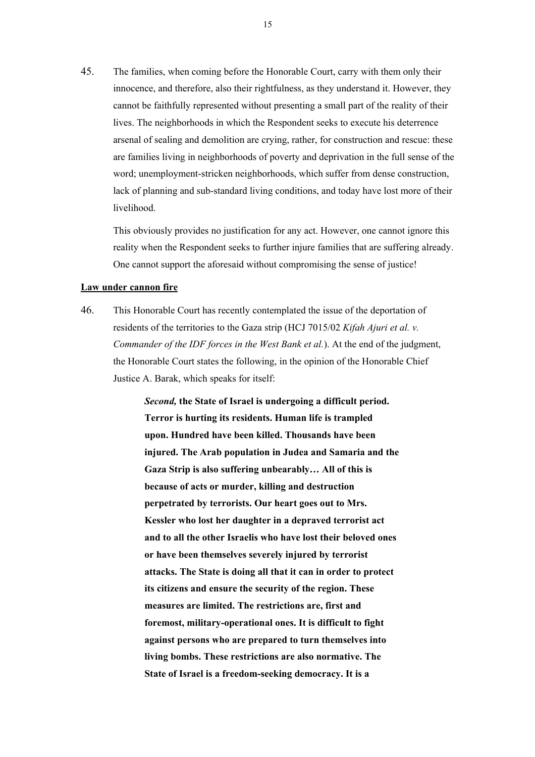45. The families, when coming before the Honorable Court, carry with them only their innocence, and therefore, also their rightfulness, as they understand it. However, they cannot be faithfully represented without presenting a small part of the reality of their lives. The neighborhoods in which the Respondent seeks to execute his deterrence arsenal of sealing and demolition are crying, rather, for construction and rescue: these are families living in neighborhoods of poverty and deprivation in the full sense of the word; unemployment-stricken neighborhoods, which suffer from dense construction, lack of planning and sub-standard living conditions, and today have lost more of their livelihood.

This obviously provides no justification for any act. However, one cannot ignore this reality when the Respondent seeks to further injure families that are suffering already. One cannot support the aforesaid without compromising the sense of justice!

#### **Law under cannon fire**

46. This Honorable Court has recently contemplated the issue of the deportation of residents of the territories to the Gaza strip (HCJ 7015/02 *Kifah Ajuri et al. v. Commander of the IDF forces in the West Bank et al.*). At the end of the judgment, the Honorable Court states the following, in the opinion of the Honorable Chief Justice A. Barak, which speaks for itself:

> *Second,* **the State of Israel is undergoing a difficult period. Terror is hurting its residents. Human life is trampled upon. Hundred have been killed. Thousands have been injured. The Arab population in Judea and Samaria and the Gaza Strip is also suffering unbearably… All of this is because of acts or murder, killing and destruction perpetrated by terrorists. Our heart goes out to Mrs. Kessler who lost her daughter in a depraved terrorist act and to all the other Israelis who have lost their beloved ones or have been themselves severely injured by terrorist attacks. The State is doing all that it can in order to protect its citizens and ensure the security of the region. These measures are limited. The restrictions are, first and foremost, military-operational ones. It is difficult to fight against persons who are prepared to turn themselves into living bombs. These restrictions are also normative. The State of Israel is a freedom-seeking democracy. It is a**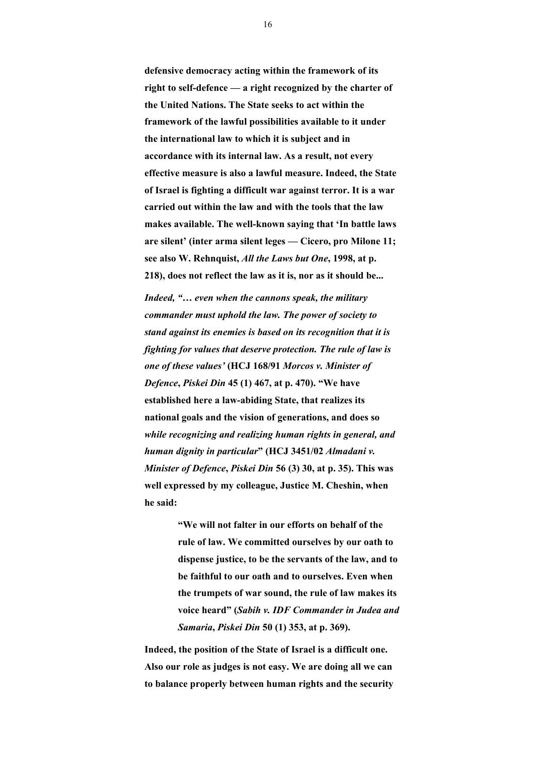**defensive democracy acting within the framework of its right to self-defence — a right recognized by the charter of the United Nations. The State seeks to act within the framework of the lawful possibilities available to it under the international law to which it is subject and in accordance with its internal law. As a result, not every effective measure is also a lawful measure. Indeed, the State of Israel is fighting a difficult war against terror. It is a war carried out within the law and with the tools that the law makes available. The well-known saying that 'In battle laws are silent' (inter arma silent leges — Cicero, pro Milone 11; see also W. Rehnquist,** *All the Laws but One***, 1998, at p. 218), does not reflect the law as it is, nor as it should be...** 

*Indeed, "… even when the cannons speak, the military commander must uphold the law. The power of society to stand against its enemies is based on its recognition that it is fighting for values that deserve protection. The rule of law is one of these values'* **(HCJ 168/91** *Morcos v. Minister of Defence***,** *Piskei Din* **45 (1) 467, at p. 470). "We have established here a law-abiding State, that realizes its national goals and the vision of generations, and does so**  *while recognizing and realizing human rights in general, and human dignity in particular***" (HCJ 3451/02** *Almadani v. Minister of Defence***,** *Piskei Din* **56 (3) 30, at p. 35). This was well expressed by my colleague, Justice M. Cheshin, when he said:** 

> **"We will not falter in our efforts on behalf of the rule of law. We committed ourselves by our oath to dispense justice, to be the servants of the law, and to be faithful to our oath and to ourselves. Even when the trumpets of war sound, the rule of law makes its voice heard" (***Sabih v. IDF Commander in Judea and Samaria***,** *Piskei Din* **50 (1) 353, at p. 369).**

**Indeed, the position of the State of Israel is a difficult one. Also our role as judges is not easy. We are doing all we can to balance properly between human rights and the security**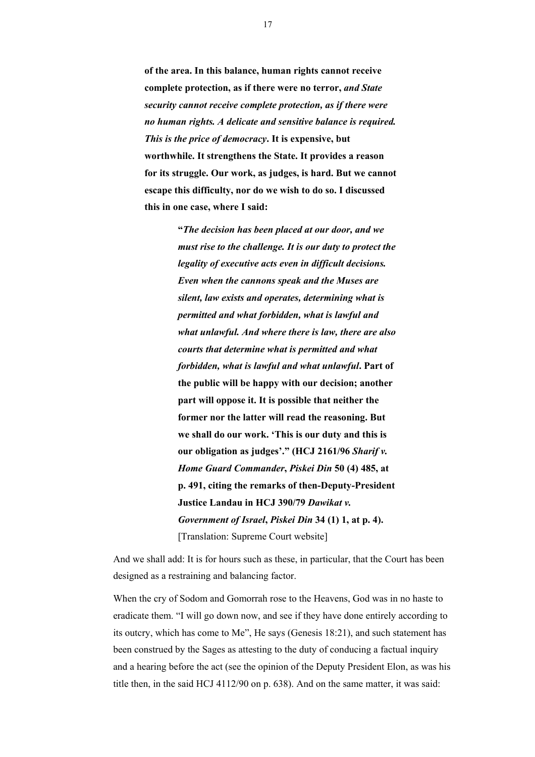**of the area. In this balance, human rights cannot receive complete protection, as if there were no terror,** *and State security cannot receive complete protection, as if there were no human rights. A delicate and sensitive balance is required. This is the price of democracy***. It is expensive, but worthwhile. It strengthens the State. It provides a reason for its struggle. Our work, as judges, is hard. But we cannot escape this difficulty, nor do we wish to do so. I discussed this in one case, where I said:** 

> **"***The decision has been placed at our door, and we must rise to the challenge. It is our duty to protect the legality of executive acts even in difficult decisions. Even when the cannons speak and the Muses are silent, law exists and operates, determining what is permitted and what forbidden, what is lawful and what unlawful. And where there is law, there are also courts that determine what is permitted and what forbidden, what is lawful and what unlawful***. Part of the public will be happy with our decision; another part will oppose it. It is possible that neither the former nor the latter will read the reasoning. But we shall do our work. 'This is our duty and this is our obligation as judges'." (HCJ 2161/96** *Sharif v. Home Guard Commander***,** *Piskei Din* **50 (4) 485, at p. 491, citing the remarks of then-Deputy-President Justice Landau in HCJ 390/79** *Dawikat v. Government of Israel***,** *Piskei Din* **34 (1) 1, at p. 4).**  [Translation: Supreme Court website]

And we shall add: It is for hours such as these, in particular, that the Court has been designed as a restraining and balancing factor.

When the cry of Sodom and Gomorrah rose to the Heavens, God was in no haste to eradicate them. "I will go down now, and see if they have done entirely according to its outcry, which has come to Me", He says (Genesis 18:21), and such statement has been construed by the Sages as attesting to the duty of conducing a factual inquiry and a hearing before the act (see the opinion of the Deputy President Elon, as was his title then, in the said HCJ 4112/90 on p. 638). And on the same matter, it was said: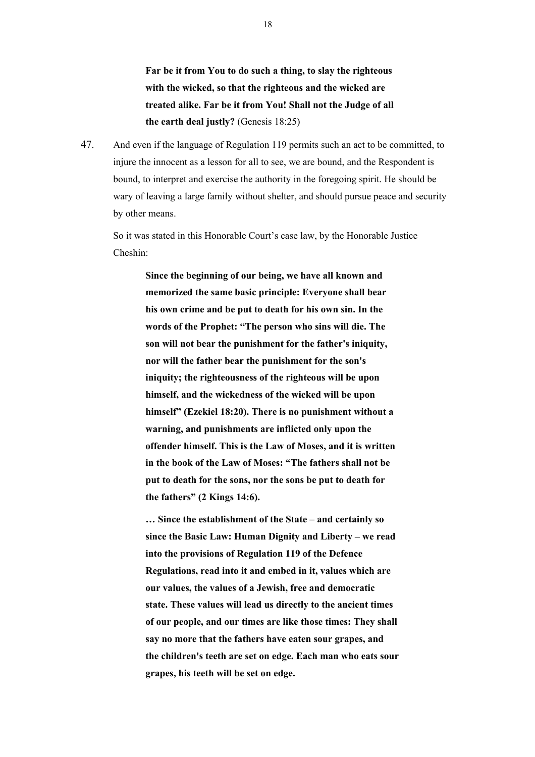**Far be it from You to do such a thing, to slay the righteous with the wicked, so that the righteous and the wicked are treated alike. Far be it from You! Shall not the Judge of all the earth deal justly?** (Genesis 18:25)

47. And even if the language of Regulation 119 permits such an act to be committed, to injure the innocent as a lesson for all to see, we are bound, and the Respondent is bound, to interpret and exercise the authority in the foregoing spirit. He should be wary of leaving a large family without shelter, and should pursue peace and security by other means.

So it was stated in this Honorable Court's case law, by the Honorable Justice Cheshin:

> **Since the beginning of our being, we have all known and memorized the same basic principle: Everyone shall bear his own crime and be put to death for his own sin. In the words of the Prophet: "The person who sins will die. The son will not bear the punishment for the father's iniquity, nor will the father bear the punishment for the son's iniquity; the righteousness of the righteous will be upon himself, and the wickedness of the wicked will be upon himself" (Ezekiel 18:20). There is no punishment without a warning, and punishments are inflicted only upon the offender himself. This is the Law of Moses, and it is written in the book of the Law of Moses: "The fathers shall not be put to death for the sons, nor the sons be put to death for the fathers" (2 Kings 14:6).**

**… Since the establishment of the State – and certainly so since the Basic Law: Human Dignity and Liberty – we read into the provisions of Regulation 119 of the Defence Regulations, read into it and embed in it, values which are our values, the values of a Jewish, free and democratic state. These values will lead us directly to the ancient times of our people, and our times are like those times: They shall say no more that the fathers have eaten sour grapes, and the children's teeth are set on edge. Each man who eats sour grapes, his teeth will be set on edge.**